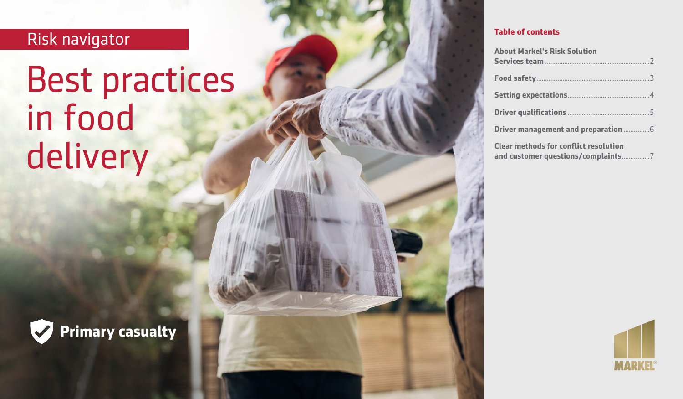# Risk navigator

# Best practices in food delivery



#### **Table of contents**

| <b>About Markel's Risk Solution</b>          |
|----------------------------------------------|
|                                              |
|                                              |
|                                              |
|                                              |
| <b>Clear methods for conflict resolution</b> |

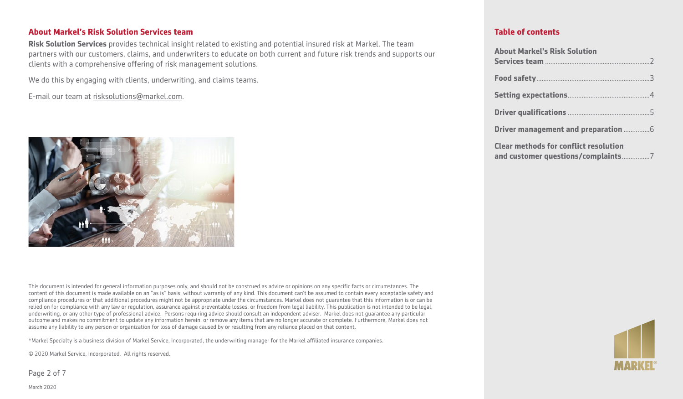#### **About Markel's Risk Solution Services team**

**Risk Solution Services** provides technical insight related to existing and potential insured risk at Markel. The team partners with our customers, claims, and underwriters to educate on both current and future risk trends and supports our clients with a comprehensive offering of risk management solutions.

We do this by engaging with clients, underwriting, and claims teams.

E-mail our team at [risksolutions@markel.com](mailto:risksolutions@markel.com).



This document is intended for general information purposes only, and should not be construed as advice or opinions on any specific facts or circumstances. The content of this document is made available on an "as is" basis, without warranty of any kind. This document can't be assumed to contain every acceptable safety and compliance procedures or that additional procedures might not be appropriate under the circumstances. Markel does not guarantee that this information is or can be relied on for compliance with any law or regulation, assurance against preventable losses, or freedom from legal liability. This publication is not intended to be legal, underwriting, or any other type of professional advice. Persons requiring advice should consult an independent adviser. Markel does not guarantee any particular outcome and makes no commitment to update any information herein, or remove any items that are no longer accurate or complete. Furthermore, Markel does not assume any liability to any person or organization for loss of damage caused by or resulting from any reliance placed on that content.

\*Markel Specialty is a business division of Markel Service, Incorporated, the underwriting manager for the Markel affiliated insurance companies.

© 2020 Markel Service, Incorporated. All rights reserved.

Page 2 of 7

#### **Table of contents**

| <b>About Markel's Risk Solution</b>          |
|----------------------------------------------|
|                                              |
|                                              |
|                                              |
|                                              |
| <b>Clear methods for conflict resolution</b> |
|                                              |



March 2020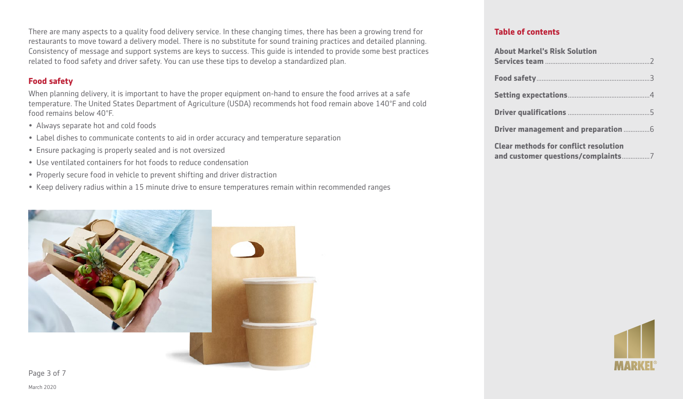There are many aspects to a quality food delivery service. In these changing times, there has been a growing trend for restaurants to move toward a delivery model. There is no substitute for sound training practices and detailed planning. Consistency of message and support systems are keys to success. This guide is intended to provide some best practices related to food safety and driver safety. You can use these tips to develop a standardized plan.

# **Food safety**

When planning delivery, it is important to have the proper equipment on-hand to ensure the food arrives at a safe temperature. The United States Department of Agriculture (USDA) recommends hot food remain above 140°F and cold food remains below 40°F.

- Always separate hot and cold foods
- Label dishes to communicate contents to aid in order accuracy and temperature separation
- Ensure packaging is properly sealed and is not oversized
- Use ventilated containers for hot foods to reduce condensation
- Properly secure food in vehicle to prevent shifting and driver distraction
- Keep delivery radius within a 15 minute drive to ensure temperatures remain within recommended ranges



#### **Table of contents**

| <b>About Markel's Risk Solution</b>          |
|----------------------------------------------|
|                                              |
|                                              |
|                                              |
|                                              |
| <b>Clear methods for conflict resolution</b> |

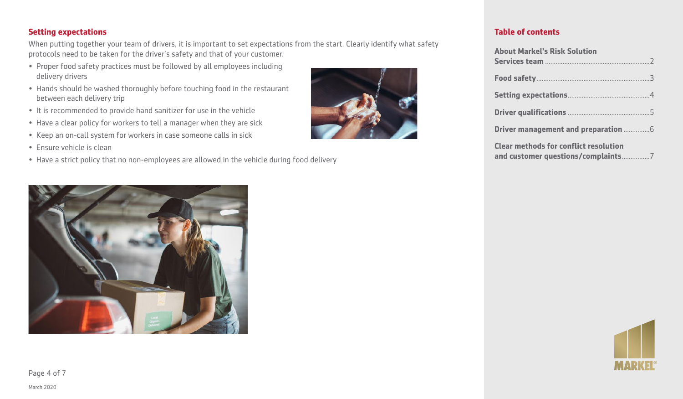### **Setting expectations**

When putting together your team of drivers, it is important to set expectations from the start. Clearly identify what safety protocols need to be taken for the driver's safety and that of your customer.

- Proper food safety practices must be followed by all employees including delivery drivers
- Hands should be washed thoroughly before touching food in the restaurant between each delivery trip
- It is recommended to provide hand sanitizer for use in the vehicle
- Have a clear policy for workers to tell a manager when they are sick
- Keep an on-call system for workers in case someone calls in sick
- Ensure vehicle is clean
- Have a strict policy that no non-employees are allowed in the vehicle during food delivery



#### **Table of contents**

| <b>About Markel's Risk Solution</b>          |
|----------------------------------------------|
|                                              |
|                                              |
|                                              |
|                                              |
| <b>Clear methods for conflict resolution</b> |





Page 4 of 7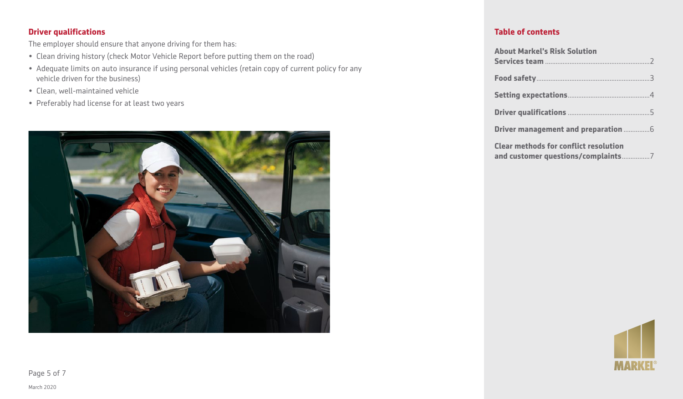#### **Driver qualifications**

The employer should ensure that anyone driving for them has:

- Clean driving history (check Motor Vehicle Report before putting them on the road)
- Adequate limits on auto insurance if using personal vehicles (retain copy of current policy for any vehicle driven for the business)
- Clean, well-maintained vehicle
- Preferably had license for at least two years



#### **Table of contents**

| <b>About Markel's Risk Solution</b>          |
|----------------------------------------------|
|                                              |
|                                              |
|                                              |
|                                              |
| <b>Clear methods for conflict resolution</b> |



Page 5 of 7

March 2020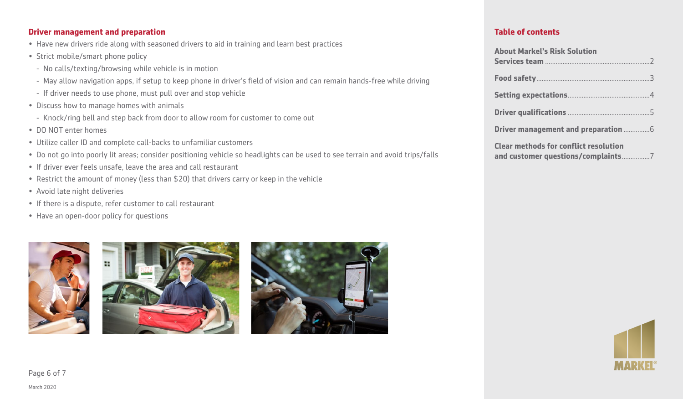#### **Driver management and preparation**

- Have new drivers ride along with seasoned drivers to aid in training and learn best practices
- Strict mobile/smart phone policy
	- No calls/texting/browsing while vehicle is in motion
	- May allow navigation apps, if setup to keep phone in driver's field of vision and can remain hands-free while driving
- If driver needs to use phone, must pull over and stop vehicle
- Discuss how to manage homes with animals
	- Knock/ring bell and step back from door to allow room for customer to come out
- DO NOT enter homes
- Utilize caller ID and complete call-backs to unfamiliar customers
- Do not go into poorly lit areas; consider positioning vehicle so headlights can be used to see terrain and avoid trips/falls
- If driver ever feels unsafe, leave the area and call restaurant
- Restrict the amount of money (less than \$20) that drivers carry or keep in the vehicle
- Avoid late night deliveries
- If there is a dispute, refer customer to call restaurant
- Have an open-door policy for questions







#### **Table of contents**

| <b>About Markel's Risk Solution</b>                                                |
|------------------------------------------------------------------------------------|
|                                                                                    |
|                                                                                    |
|                                                                                    |
|                                                                                    |
| <b>Clear methods for conflict resolution</b><br>and customer questions/complaints7 |